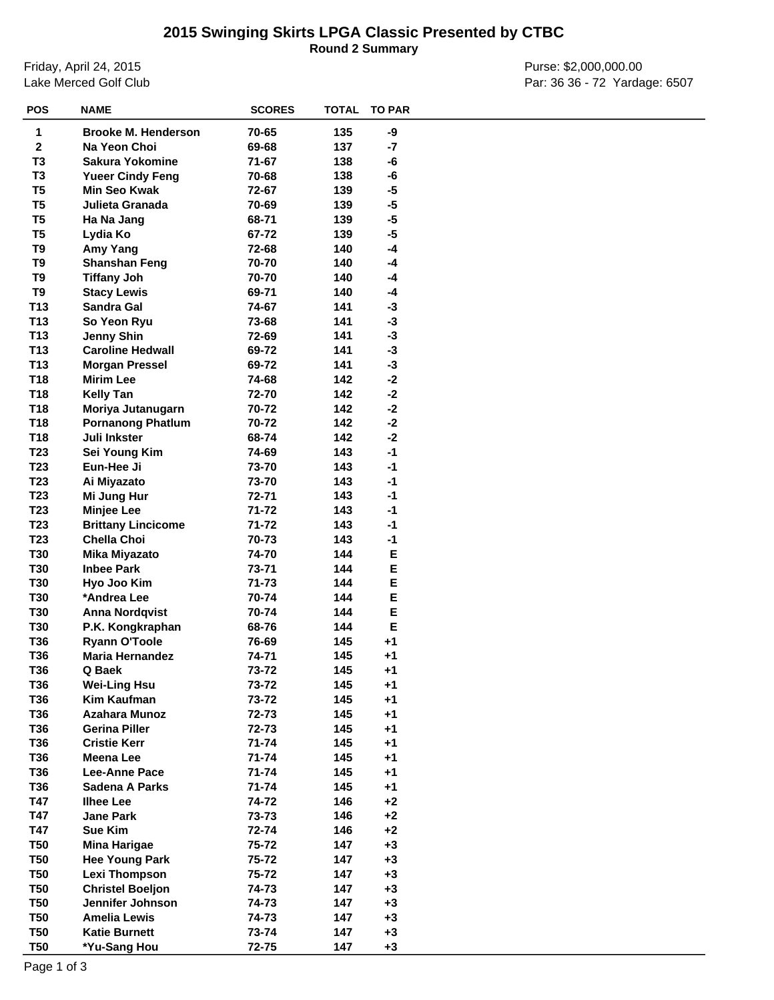## **2015 Swinging Skirts LPGA Classic Presented by CTBC**

**Round 2 Summary**

Friday, April 24, 2015 Lake Merced Golf Club

Purse: \$2,000,000.00 Par: 36 36 - 72 Yardage: 6507

| <b>POS</b>      | <b>NAME</b>                | <b>SCORES</b> | <b>TOTAL</b> | <b>TO PAR</b> |  |
|-----------------|----------------------------|---------------|--------------|---------------|--|
| 1               | <b>Brooke M. Henderson</b> | 70-65         | 135          | -9            |  |
| $\mathbf{2}$    | Na Yeon Choi               | 69-68         | 137          | $-7$          |  |
| T3              | <b>Sakura Yokomine</b>     | 71-67         | 138          | -6            |  |
| T <sub>3</sub>  | <b>Yueer Cindy Feng</b>    | 70-68         | 138          | -6            |  |
| T <sub>5</sub>  | <b>Min Seo Kwak</b>        | 72-67         | 139          | $-5$          |  |
| T <sub>5</sub>  | Julieta Granada            | 70-69         | 139          | $-5$          |  |
| T <sub>5</sub>  | Ha Na Jang                 | 68-71         | 139          | $-5$          |  |
| T <sub>5</sub>  | Lydia Ko                   | 67-72         | 139          | $-5$          |  |
| T9              | Amy Yang                   | 72-68         | 140          | $-4$          |  |
| T9              | <b>Shanshan Feng</b>       | 70-70         | 140          | $-4$          |  |
| T9              | <b>Tiffany Joh</b>         | 70-70         | 140          | $-4$          |  |
| T9              | <b>Stacy Lewis</b>         | 69-71         | 140          | -4            |  |
| T <sub>13</sub> | Sandra Gal                 | 74-67         | 141          | $-3$          |  |
| T <sub>13</sub> | So Yeon Ryu                | 73-68         | 141          | $-3$          |  |
| T <sub>13</sub> | <b>Jenny Shin</b>          | 72-69         | 141          | $-3$          |  |
| T13             | <b>Caroline Hedwall</b>    | 69-72         | 141          | $-3$          |  |
| T <sub>13</sub> | <b>Morgan Pressel</b>      | 69-72         | 141          | $-3$          |  |
| T18             | <b>Mirim Lee</b>           | 74-68         | 142          | $-2$          |  |
| T <sub>18</sub> | <b>Kelly Tan</b>           | 72-70         | 142          | $-2$          |  |
| T <sub>18</sub> | Moriya Jutanugarn          | 70-72         | 142          | $-2$          |  |
| T18             | <b>Pornanong Phatlum</b>   | 70-72         | 142          | $-2$          |  |
| T18             | Juli Inkster               | 68-74         | 142          | $-2$          |  |
| T <sub>23</sub> | Sei Young Kim              | 74-69         | 143          | $-1$          |  |
| T <sub>23</sub> | Eun-Hee Ji                 | 73-70         | 143          | $-1$          |  |
| T <sub>23</sub> | Ai Miyazato                | 73-70         | 143          | $-1$          |  |
| T <sub>23</sub> | Mi Jung Hur                | 72-71         | 143          | $-1$          |  |
| T <sub>23</sub> | <b>Minjee Lee</b>          | 71-72         | 143          | $-1$          |  |
| T <sub>23</sub> | <b>Brittany Lincicome</b>  | 71-72         | 143          | $-1$          |  |
| T <sub>23</sub> | <b>Chella Choi</b>         | 70-73         | 143          | $-1$          |  |
| <b>T30</b>      | Mika Miyazato              | 74-70         | 144          | Е             |  |
| <b>T30</b>      | <b>Inbee Park</b>          | 73-71         | 144          | Е             |  |
| <b>T30</b>      | Hyo Joo Kim                | 71-73         | 144          | E             |  |
| <b>T30</b>      | *Andrea Lee                | 70-74         | 144          | E             |  |
| <b>T30</b>      | <b>Anna Nordqvist</b>      | 70-74         | 144          | Е             |  |
| <b>T30</b>      | P.K. Kongkraphan           | 68-76         | 144          | E             |  |
| T36             | <b>Ryann O'Toole</b>       | 76-69         | 145          | $+1$          |  |
| <b>T36</b>      | <b>Maria Hernandez</b>     | 74-71         | 145          | $+1$          |  |
| <b>T36</b>      | Q Baek                     | 73-72         | 145          | $+1$          |  |
| T36             | <b>Wei-Ling Hsu</b>        | 73-72         | 145          | $+1$          |  |
| T36             | Kim Kaufman                | 73-72         | 145          | $+1$          |  |
| <b>T36</b>      | <b>Azahara Munoz</b>       | 72-73         | 145          | $+1$          |  |
| T36             | <b>Gerina Piller</b>       | 72-73         | 145          | $+1$          |  |
| T36             | <b>Cristie Kerr</b>        | 71-74         | 145          | $+1$          |  |
| T36             | Meena Lee                  | 71-74         | 145          | $+1$          |  |
| T36             | Lee-Anne Pace              | 71-74         | 145          | $+1$          |  |
| <b>T36</b>      | Sadena A Parks             | 71-74         | 145          | $+1$          |  |
| T47             | <b>Ilhee Lee</b>           | 74-72         | 146          | $+2$          |  |
| T47             | <b>Jane Park</b>           | 73-73         | 146          | $+2$          |  |
| T47             | <b>Sue Kim</b>             | 72-74         | 146          | $+2$          |  |
| <b>T50</b>      | <b>Mina Harigae</b>        | 75-72         | 147          | $+3$          |  |
| <b>T50</b>      | <b>Hee Young Park</b>      | 75-72         | 147          | $+3$          |  |
| <b>T50</b>      | <b>Lexi Thompson</b>       | 75-72         | 147          | $+3$          |  |
| <b>T50</b>      | <b>Christel Boeljon</b>    | 74-73         | 147          | $+3$          |  |
| <b>T50</b>      | Jennifer Johnson           | 74-73         | 147          | $+3$          |  |
| <b>T50</b>      | <b>Amelia Lewis</b>        | 74-73         | 147          | $+3$          |  |
| <b>T50</b>      | <b>Katie Burnett</b>       | 73-74         | 147          | $+3$          |  |
| <b>T50</b>      | *Yu-Sang Hou               | 72-75         | 147          | $+3$          |  |
|                 |                            |               |              |               |  |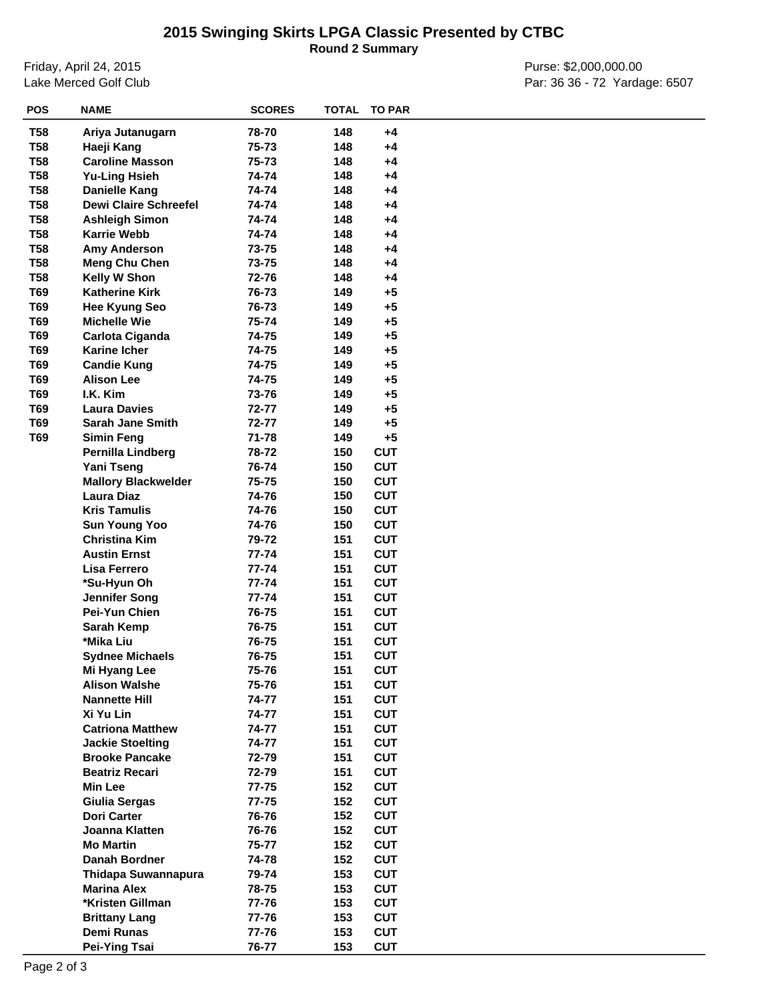## **2015 Swinging Skirts LPGA Classic Presented by CTBC**

**Round 2 Summary**

Friday, April 24, 2015 Lake Merced Golf Club

Purse: \$2,000,000.00 Par: 36 36 - 72 Yardage: 6507

| <b>POS</b> | <b>NAME</b>                  | <b>SCORES</b> |     | <b>TOTAL TO PAR</b> |  |
|------------|------------------------------|---------------|-----|---------------------|--|
| <b>T58</b> | Ariya Jutanugarn             | 78-70         | 148 | $+4$                |  |
| <b>T58</b> | Haeji Kang                   | 75-73         | 148 | $+4$                |  |
| <b>T58</b> | <b>Caroline Masson</b>       | 75-73         | 148 | $+4$                |  |
| <b>T58</b> | <b>Yu-Ling Hsieh</b>         | 74-74         | 148 | $+4$                |  |
| <b>T58</b> | <b>Danielle Kang</b>         | 74-74         | 148 | $+4$                |  |
| <b>T58</b> | <b>Dewi Claire Schreefel</b> | 74-74         | 148 | +4                  |  |
| <b>T58</b> | <b>Ashleigh Simon</b>        | 74-74         | 148 | $+4$                |  |
| <b>T58</b> | <b>Karrie Webb</b>           | 74-74         | 148 | $+4$                |  |
| <b>T58</b> | Amy Anderson                 | 73-75         | 148 | +4                  |  |
| <b>T58</b> | <b>Meng Chu Chen</b>         | 73-75         | 148 | $+4$                |  |
| <b>T58</b> | Kelly W Shon                 | 72-76         | 148 | $+4$                |  |
| T69        | <b>Katherine Kirk</b>        | 76-73         | 149 | $+5$                |  |
| T69        | <b>Hee Kyung Seo</b>         | 76-73         | 149 | $+5$                |  |
| T69        | <b>Michelle Wie</b>          | 75-74         | 149 | $+5$                |  |
| T69        | Carlota Ciganda              | 74-75         | 149 | $+5$                |  |
| T69        | <b>Karine Icher</b>          | 74-75         | 149 | $+5$                |  |
| T69        | <b>Candie Kung</b>           | 74-75         | 149 | $+5$                |  |
| T69        | <b>Alison Lee</b>            | 74-75         | 149 | $+5$                |  |
| T69        | I.K. Kim                     | 73-76         | 149 | $+5$                |  |
| T69        | <b>Laura Davies</b>          | 72-77         | 149 | $+5$                |  |
| T69        | <b>Sarah Jane Smith</b>      | 72-77         | 149 | $+5$                |  |
| T69        | <b>Simin Feng</b>            | 71-78         | 149 | $+5$                |  |
|            | Pernilla Lindberg            | 78-72         | 150 | <b>CUT</b>          |  |
|            | Yani Tseng                   | 76-74         | 150 | <b>CUT</b>          |  |
|            | <b>Mallory Blackwelder</b>   | 75-75         | 150 | <b>CUT</b>          |  |
|            | <b>Laura Diaz</b>            | 74-76         | 150 | <b>CUT</b>          |  |
|            | <b>Kris Tamulis</b>          | 74-76         | 150 | <b>CUT</b>          |  |
|            | <b>Sun Young Yoo</b>         | 74-76         | 150 | <b>CUT</b>          |  |
|            | <b>Christina Kim</b>         | 79-72         | 151 | <b>CUT</b>          |  |
|            | <b>Austin Ernst</b>          | 77-74         | 151 | <b>CUT</b>          |  |
|            | Lisa Ferrero                 | 77-74         | 151 | <b>CUT</b>          |  |
|            | *Su-Hyun Oh                  | 77-74         | 151 | <b>CUT</b>          |  |
|            | <b>Jennifer Song</b>         | 77-74         | 151 | <b>CUT</b>          |  |
|            | Pei-Yun Chien                | 76-75         | 151 | <b>CUT</b>          |  |
|            | Sarah Kemp                   | 76-75         | 151 | <b>CUT</b>          |  |
|            | *Mika Liu                    | 76-75         | 151 | <b>CUT</b>          |  |
|            | <b>Sydnee Michaels</b>       | 76-75         | 151 | <b>CUT</b>          |  |
|            | Mi Hyang Lee                 | 75-76         | 151 | <b>CUT</b>          |  |
|            | <b>Alison Walshe</b>         | 75-76         | 151 | <b>CUT</b>          |  |
|            | <b>Nannette Hill</b>         | 74-77         | 151 | <b>CUT</b>          |  |
|            | Xi Yu Lin                    | 74-77         | 151 | <b>CUT</b>          |  |
|            | <b>Catriona Matthew</b>      | 74-77         | 151 | <b>CUT</b>          |  |
|            | <b>Jackie Stoelting</b>      | 74-77         | 151 | <b>CUT</b>          |  |
|            | <b>Brooke Pancake</b>        | 72-79         | 151 | <b>CUT</b>          |  |
|            | <b>Beatriz Recari</b>        | 72-79         | 151 | <b>CUT</b>          |  |
|            | <b>Min Lee</b>               | 77-75         | 152 | <b>CUT</b>          |  |
|            | Giulia Sergas                | 77-75         | 152 | <b>CUT</b>          |  |
|            | <b>Dori Carter</b>           | 76-76         | 152 | <b>CUT</b>          |  |
|            | Joanna Klatten               | 76-76         | 152 | <b>CUT</b>          |  |
|            | <b>Mo Martin</b>             | 75-77         | 152 | <b>CUT</b>          |  |
|            | Danah Bordner                | 74-78         | 152 | <b>CUT</b>          |  |
|            | Thidapa Suwannapura          | 79-74         | 153 | <b>CUT</b>          |  |
|            | <b>Marina Alex</b>           | 78-75         | 153 | <b>CUT</b>          |  |
|            | *Kristen Gillman             | 77-76         | 153 | <b>CUT</b>          |  |
|            | <b>Brittany Lang</b>         | 77-76         | 153 | <b>CUT</b>          |  |
|            | Demi Runas                   | 77-76         | 153 | <b>CUT</b>          |  |
|            | Pei-Ying Tsai                | 76-77         | 153 | <b>CUT</b>          |  |